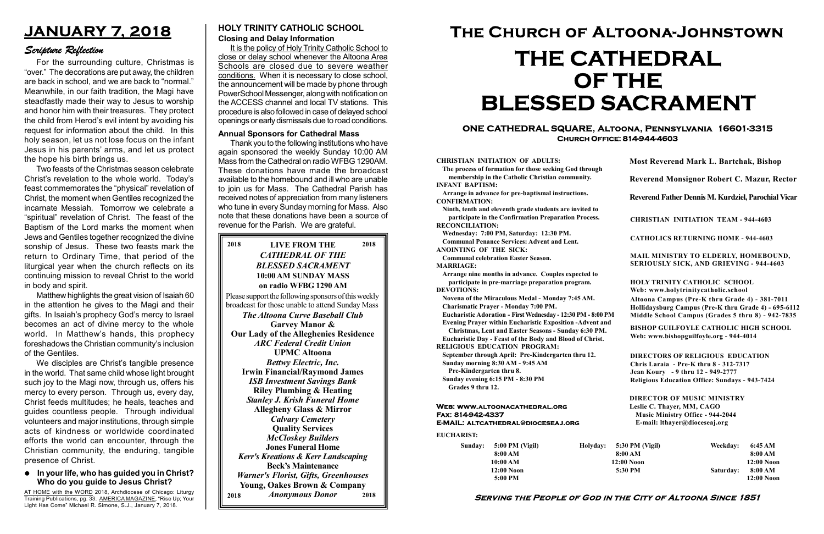#### Serving the People of God in the City of Altoona Since 1851

Sunday: 5:00 PM (Vigil) 8:00 AM 10:00 AM 12:00 Noon 5:00 PM

Holyday:

#### Web: www.altoonacathedral.org Fax: 814-942-4337 E-MAIL: altcathedral@dioceseaj.org

EUCHARIST:

#### CHRISTIAN INITIATION OF ADULTS:

The process of formation for those seeking God through membership in the Catholic Christian community. INFANT BAPTISM:

Arrange in advance for pre-baptismal instructions. CONFIRMATION:

Ninth, tenth and eleventh grade students are invited to participate in the Confirmation Preparation Process. RECONCILIATION:

Wednesday: 7:00 PM, Saturday: 12:30 PM. Communal Penance Services: Advent and Lent. ANOINTING OF THE SICK:

Communal celebration Easter Season. MARRIAGE:

Arrange nine months in advance. Couples expected to participate in pre-marriage preparation program. DEVOTIONS:

Novena of the Miraculous Medal - Monday 7:45 AM. Charismatic Prayer - Monday 7:00 PM. Eucharistic Adoration - First Wednesday - 12:30 PM - 8:00 PM Evening Prayer within Eucharistic Exposition -Advent and Christmas, Lent and Easter Seasons - Sunday 6:30 PM. Eucharistic Day - Feast of the Body and Blood of Christ. RELIGIOUS EDUCATION PROGRAM: September through April: Pre-Kindergarten thru 12. Sunday morning 8:30 AM - 9:45 AM Pre-Kindergarten thru 8. Sunday evening 6:15 PM - 8:30 PM Grades 9 thru 12.

|                         | <b>Most Reverend Mark L. Bartchak, Bishop</b><br><b>Reverend Monsignor Robert C. Mazur, Rector</b>                                                                              |           |                         |
|-------------------------|---------------------------------------------------------------------------------------------------------------------------------------------------------------------------------|-----------|-------------------------|
|                         |                                                                                                                                                                                 |           |                         |
|                         | Reverend Father Dennis M. Kurdziel, Parochial Vicar                                                                                                                             |           |                         |
|                         | <b>CHRISTIAN INITIATION TEAM - 944-4603</b>                                                                                                                                     |           |                         |
|                         | <b>CATHOLICS RETURNING HOME - 944-4603</b>                                                                                                                                      |           |                         |
|                         | MAIL MINISTRY TO ELDERLY, HOMEBOUND,<br>SERIOUSLY SICK, AND GRIEVING - 944-4603                                                                                                 |           |                         |
|                         | HOLY TRINITY CATHOLIC SCHOOL<br>Web: www.holytrinitycatholic.school                                                                                                             |           |                         |
| М                       | Altoona Campus (Pre-K thru Grade 4) - 381-7011<br>Hollidaysburg Campus (Pre-K thru Grade 4) - 695-6112<br>Middle School Campus (Grades 5 thru 8) - 942-7835                     |           |                         |
| ł                       | <b>BISHOP GUILFOYLE CATHOLIC HIGH SCHOOL</b><br>Web: www.bishopguilfoyle.org - 944-4014                                                                                         |           |                         |
|                         | <b>DIRECTORS OF RELIGIOUS EDUCATION</b><br>Chris Laraia - Pre-K thru 8 - 312-7317<br>Jean Koury - 9 thru 12 - 949-2777<br><b>Religious Education Office: Sundays - 943-7424</b> |           |                         |
|                         | <b>DIRECTOR OF MUSIC MINISTRY</b><br>Leslie C. Thayer, MM, CAGO<br><b>Music Ministry Office - 944-2044</b><br>E-mail: lthayer@dioceseaj.org                                     |           |                         |
| 5:30 PM (Vigil)         |                                                                                                                                                                                 | Weekday:  | 6:45 AM                 |
| 8:00 AM<br>$12:00$ Noon |                                                                                                                                                                                 |           | 8:00 AM<br>$12:00$ Noon |
| 5:30 PM                 |                                                                                                                                                                                 | Saturday: | 8:00 AM                 |
|                         |                                                                                                                                                                                 |           | 12:00 Noon              |

#### $\bullet$  In your life, who has guided you in Christ? Who do you guide to Jesus Christ?

AT HOME with the WORD 2018, Archdiocese of Chicago: Liturgy Training Publications, pg. 33. AMERICA MAGAZINE, "Rise Up; Your Light Has Come" Michael R. Simone, S.J., January 7, 2018.

#### ONE CATHEDRAL SQUARE, Altoona, Pennsylvania 16601-3315 Church Office: 814-944-4603

# The Church of Altoona-Johnstown THE CATHEDRAL OF THE BLESSED SACRAMENT

#### HOLY TRINITY CATHOLIC SCHOOL

#### Closing and Delay Information

It is the policy of Holy Trinity Catholic School to close or delay school whenever the Altoona Area Schools are closed due to severe weather conditions. When it is necessary to close school, the announcement will be made by phone through PowerSchool Messenger, along with notification on the ACCESS channel and local TV stations. This procedure is also followed in case of delayed school openings or early dismissals due to road conditions.

## JANUARY 7, 2018

### Scripture Reflection

For the surrounding culture, Christmas is "over." The decorations are put away, the children are back in school, and we are back to "normal." Meanwhile, in our faith tradition, the Magi have steadfastly made their way to Jesus to worship and honor him with their treasures. They protect the child from Herod's evil intent by avoiding his request for information about the child. In this holy season, let us not lose focus on the infant Jesus in his parents' arms, and let us protect the hope his birth brings us.

Two feasts of the Christmas season celebrate Christ's revelation to the whole world. Today's feast commemorates the "physical" revelation of Christ, the moment when Gentiles recognized the incarnate Messiah. Tomorrow we celebrate a "spiritual" revelation of Christ. The feast of the Baptism of the Lord marks the moment when Jews and Gentiles together recognized the divine sonship of Jesus. These two feasts mark the return to Ordinary Time, that period of the liturgical year when the church reflects on its continuing mission to reveal Christ to the world in body and spirit.

Matthew highlights the great vision of Isaiah 60 in the attention he gives to the Magi and their gifts. In Isaiah's prophecy God's mercy to Israel becomes an act of divine mercy to the whole world. In Matthew's hands, this prophecy foreshadows the Christian community's inclusion of the Gentiles.

We disciples are Christ's tangible presence in the world. That same child whose light brought such joy to the Magi now, through us, offers his mercy to every person. Through us, every day, Christ feeds multitudes; he heals, teaches and guides countless people. Through individual volunteers and major institutions, through simple acts of kindness or worldwide coordinated efforts the world can encounter, through the Christian community, the enduring, tangible presence of Christ.

#### LIVE FROM THE 2018 2018 CATHEDRAL OF THE BLESSED SACRAMENT 10:00 AM SUNDAY MASS on radio WFBG 1290 AM

Please support the following sponsors of this weekly broadcast for those unable to attend Sunday Mass The Altoona Curve Baseball Club Garvey Manor & Our Lady of the Alleghenies Residence ARC Federal Credit Union UPMC Altoona Bettwy Electric, Inc. Irwin Financial/Raymond James ISB Investment Savings Bank Riley Plumbing & Heating Stanley J. Krish Funeral Home Allegheny Glass & Mirror Calvary Cemetery Quality Services McCloskey Builders Jones Funeral Home Kerr's Kreations & Kerr Landscaping Beck's Maintenance Warner's Florist, Gifts, Greenhouses

Young, Oakes Brown & Company 2018 Anonymous Donor 2018

#### Annual Sponsors for Cathedral Mass

Thank you to the following institutions who have again sponsored the weekly Sunday 10:00 AM Mass from the Cathedral on radio WFBG 1290AM. These donations have made the broadcast available to the homebound and ill who are unable to join us for Mass. The Cathedral Parish has received notes of appreciation from many listeners who tune in every Sunday morning for Mass. Also note that these donations have been a source of revenue for the Parish. We are grateful.